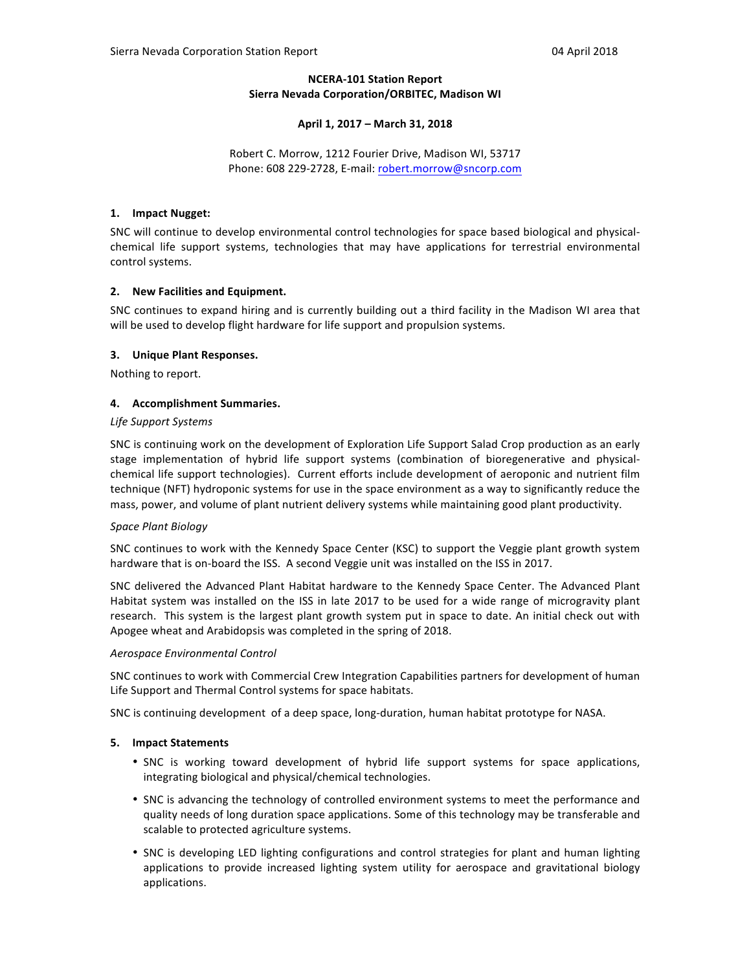# **NCERA-101 Station Report Sierra Nevada Corporation/ORBITEC, Madison WI**

## **April 1, 2017 – March 31, 2018**

Robert C. Morrow, 1212 Fourier Drive, Madison WI, 53717 Phone: 608 229-2728, E-mail: robert.morrow@sncorp.com

## **1. Impact Nugget:**

SNC will continue to develop environmental control technologies for space based biological and physicalchemical life support systems, technologies that may have applications for terrestrial environmental control systems.

## **2.** New Facilities and Equipment.

SNC continues to expand hiring and is currently building out a third facility in the Madison WI area that will be used to develop flight hardware for life support and propulsion systems.

## **3. Unique Plant Responses.**

Nothing to report.

## **4.** Accomplishment Summaries.

## *Life Support Systems*

SNC is continuing work on the development of Exploration Life Support Salad Crop production as an early stage implementation of hybrid life support systems (combination of bioregenerative and physicalchemical life support technologies). Current efforts include development of aeroponic and nutrient film technique (NFT) hydroponic systems for use in the space environment as a way to significantly reduce the mass, power, and volume of plant nutrient delivery systems while maintaining good plant productivity.

#### *Space Plant Biology*

SNC continues to work with the Kennedy Space Center (KSC) to support the Veggie plant growth system hardware that is on-board the ISS. A second Veggie unit was installed on the ISS in 2017.

SNC delivered the Advanced Plant Habitat hardware to the Kennedy Space Center. The Advanced Plant Habitat system was installed on the ISS in late 2017 to be used for a wide range of microgravity plant research. This system is the largest plant growth system put in space to date. An initial check out with Apogee wheat and Arabidopsis was completed in the spring of 2018.

#### *Aerospace Environmental Control*

SNC continues to work with Commercial Crew Integration Capabilities partners for development of human Life Support and Thermal Control systems for space habitats.

SNC is continuing development of a deep space, long-duration, human habitat prototype for NASA.

#### **5. Impact Statements**

- SNC is working toward development of hybrid life support systems for space applications, integrating biological and physical/chemical technologies.
- SNC is advancing the technology of controlled environment systems to meet the performance and quality needs of long duration space applications. Some of this technology may be transferable and scalable to protected agriculture systems.
- SNC is developing LED lighting configurations and control strategies for plant and human lighting applications to provide increased lighting system utility for aerospace and gravitational biology applications.